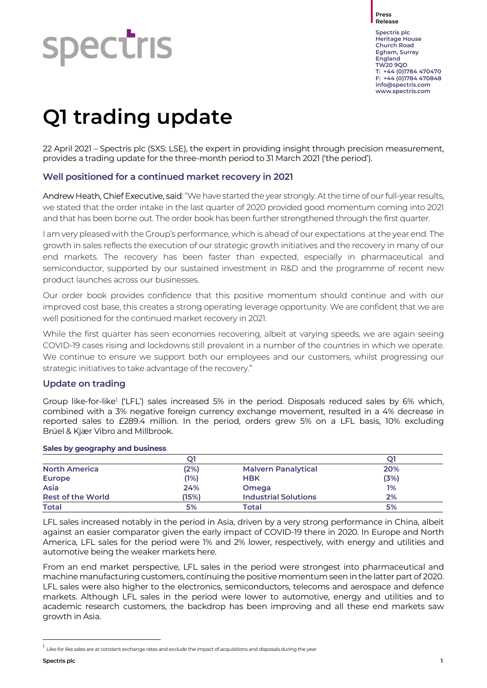# **Spectris**

Press Release

Spectris plc Heritage House Church Road Egham, Surrey England TW20 9QD T: +44 (0)1784 470470 F: +44 (0)1784 470848 info@spectris.com www.spectris.com

# Q1 trading update

22 April 2021 – Spectris plc (SXS: LSE), the expert in providing insight through precision measurement, provides a trading update for the three-month period to 31 March 2021 ('the period').

#### Well positioned for a continued market recovery in 2021

Andrew Heath, Chief Executive, said: "We have started the year strongly. At the time of our full-year results, we stated that the order intake in the last quarter of 2020 provided good momentum coming into 2021 and that has been borne out. The order book has been further strengthened through the first quarter.

I am very pleased with the Group's performance, which is ahead of our expectations at the year end. The growth in sales reflects the execution of our strategic growth initiatives and the recovery in many of our end markets. The recovery has been faster than expected, especially in pharmaceutical and semiconductor, supported by our sustained investment in R&D and the programme of recent new product launches across our businesses.

Our order book provides confidence that this positive momentum should continue and with our improved cost base, this creates a strong operating leverage opportunity. We are confident that we are well positioned for the continued market recovery in 2021.

While the first quarter has seen economies recovering, albeit at varying speeds, we are again seeing COVID-19 cases rising and lockdowns still prevalent in a number of the countries in which we operate. We continue to ensure we support both our employees and our customers, whilst progressing our strategic initiatives to take advantage of the recovery."

#### Update on trading

Group like-for-like<sup>1</sup> ('LFL') sales increased 5% in the period. Disposals reduced sales by 6% which, combined with a 3% negative foreign currency exchange movement, resulted in a 4% decrease in reported sales to £289.4 million. In the period, orders grew 5% on a LFL basis, 10% excluding Brüel & Kjær Vibro and Millbrook.

#### Sales by geography and business

| <b>North America</b>     | (2%)  | <b>Malvern Panalytical</b>  | 20%  |
|--------------------------|-------|-----------------------------|------|
| <b>Europe</b>            | (1%)  | <b>HBK</b>                  | (3%) |
| Asia                     | 24%   | Omega                       | 1%   |
| <b>Rest of the World</b> | (15%) | <b>Industrial Solutions</b> | 2%   |
| <b>Total</b>             | 5%    | Total                       | 5%   |

LFL sales increased notably in the period in Asia, driven by a very strong performance in China, albeit against an easier comparator given the early impact of COVID-19 there in 2020. In Europe and North America, LFL sales for the period were 1% and 2% lower, respectively, with energy and utilities and automotive being the weaker markets here.

From an end market perspective, LFL sales in the period were strongest into pharmaceutical and machine manufacturing customers, continuing the positive momentum seen in the latter part of 2020. LFL sales were also higher to the electronics, semiconductors, telecoms and aerospace and defence markets. Although LFL sales in the period were lower to automotive, energy and utilities and to academic research customers, the backdrop has been improving and all these end markets saw growth in Asia.

 $^1$  Like-for like sales are at constant exchange rates and exclude the impact of acquisitions and disposals during the year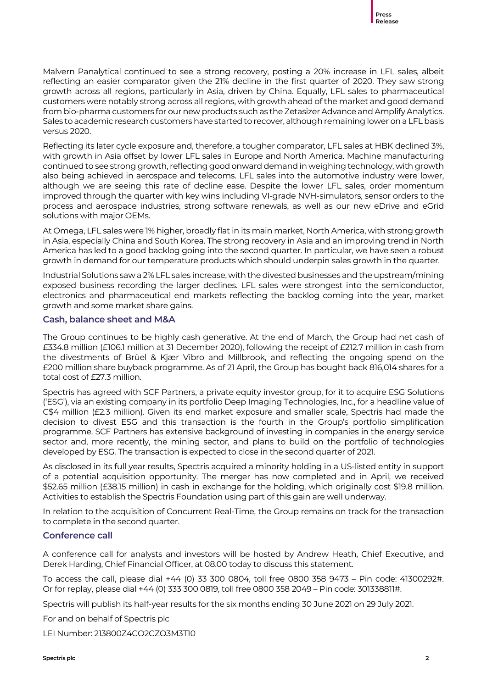Malvern Panalytical continued to see a strong recovery, posting a 20% increase in LFL sales, albeit reflecting an easier comparator given the 21% decline in the first quarter of 2020. They saw strong growth across all regions, particularly in Asia, driven by China. Equally, LFL sales to pharmaceutical customers were notably strong across all regions, with growth ahead of the market and good demand from bio-pharma customers for our new products such as the Zetasizer Advance and Amplify Analytics. Sales to academic research customers have started to recover, although remaining lower on a LFL basis versus 2020.

Reflecting its later cycle exposure and, therefore, a tougher comparator, LFL sales at HBK declined 3%, with growth in Asia offset by lower LFL sales in Europe and North America. Machine manufacturing continued to see strong growth, reflecting good onward demand in weighing technology, with growth also being achieved in aerospace and telecoms. LFL sales into the automotive industry were lower, although we are seeing this rate of decline ease. Despite the lower LFL sales, order momentum improved through the quarter with key wins including VI-grade NVH-simulators, sensor orders to the process and aerospace industries, strong software renewals, as well as our new eDrive and eGrid solutions with major OEMs.

At Omega, LFL sales were 1% higher, broadly flat in its main market, North America, with strong growth in Asia, especially China and South Korea. The strong recovery in Asia and an improving trend in North America has led to a good backlog going into the second quarter. In particular, we have seen a robust growth in demand for our temperature products which should underpin sales growth in the quarter.

Industrial Solutions saw a 2% LFL sales increase, with the divested businesses and the upstream/mining exposed business recording the larger declines. LFL sales were strongest into the semiconductor, electronics and pharmaceutical end markets reflecting the backlog coming into the year, market growth and some market share gains.

#### Cash, balance sheet and M&A

The Group continues to be highly cash generative. At the end of March, the Group had net cash of £334.8 million (£106.1 million at 31 December 2020), following the receipt of £212.7 million in cash from the divestments of Brüel & Kjær Vibro and Millbrook, and reflecting the ongoing spend on the £200 million share buyback programme. As of 21 April, the Group has bought back 816,014 shares for a total cost of £27.3 million.

Spectris has agreed with SCF Partners, a private equity investor group, for it to acquire ESG Solutions ('ESG'), via an existing company in its portfolio Deep Imaging Technologies, Inc., for a headline value of C\$4 million (£2.3 million). Given its end market exposure and smaller scale, Spectris had made the decision to divest ESG and this transaction is the fourth in the Group's portfolio simplification programme. SCF Partners has extensive background of investing in companies in the energy service sector and, more recently, the mining sector, and plans to build on the portfolio of technologies developed by ESG. The transaction is expected to close in the second quarter of 2021.

As disclosed in its full year results, Spectris acquired a minority holding in a US-listed entity in support of a potential acquisition opportunity. The merger has now completed and in April, we received \$52.65 million (£38.15 million) in cash in exchange for the holding, which originally cost \$19.8 million. Activities to establish the Spectris Foundation using part of this gain are well underway.

In relation to the acquisition of Concurrent Real-Time, the Group remains on track for the transaction to complete in the second quarter.

#### Conference call

A conference call for analysts and investors will be hosted by Andrew Heath, Chief Executive, and Derek Harding, Chief Financial Officer, at 08.00 today to discuss this statement.

To access the call, please dial +44 (0) 33 300 0804, toll free 0800 358 9473 – Pin code: 41300292#. Or for replay, please dial +44 (0) 333 300 0819, toll free 0800 358 2049 – Pin code: 301338811#.

Spectris will publish its half-year results for the six months ending 30 June 2021 on 29 July 2021.

For and on behalf of Spectris plc

LEI Number: 213800Z4CO2CZO3M3T10